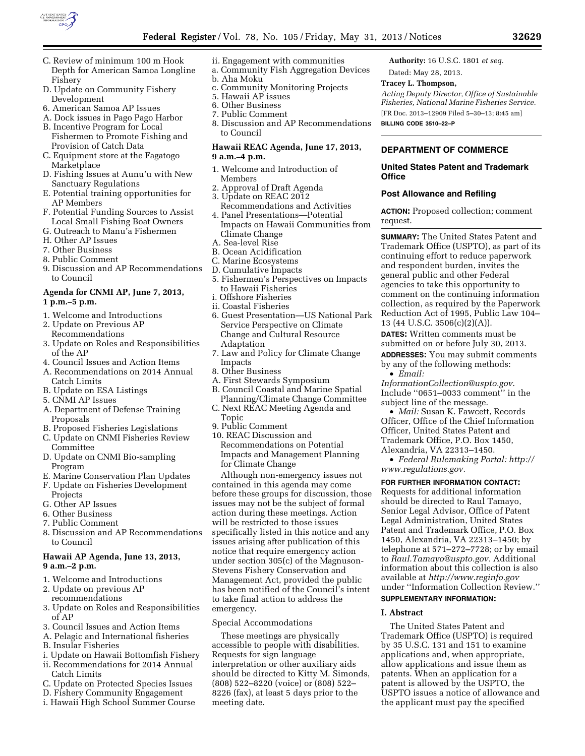

- C. Review of minimum 100 m Hook Depth for American Samoa Longline Fishery
- D. Update on Community Fishery Development
- 6. American Samoa AP Issues
- A. Dock issues in Pago Pago Harbor
- B. Incentive Program for Local Fishermen to Promote Fishing and Provision of Catch Data
- C. Equipment store at the Fagatogo Marketplace
- D. Fishing Issues at Aunu'u with New Sanctuary Regulations
- E. Potential training opportunities for AP Members
- F. Potential Funding Sources to Assist Local Small Fishing Boat Owners
- G. Outreach to Manu'a Fishermen
- H. Other AP Issues
- 7. Other Business
- 8. Public Comment
- 9. Discussion and AP Recommendations to Council

# **Agenda for CNMI AP, June 7, 2013, 1 p.m.–5 p.m.**

- 1. Welcome and Introductions
- 2. Update on Previous AP Recommendations
- 3. Update on Roles and Responsibilities of the AP
- 4. Council Issues and Action Items
- A. Recommendations on 2014 Annual Catch Limits
- B. Update on ESA Listings
- 5. CNMI AP Issues
- A. Department of Defense Training Proposals
- B. Proposed Fisheries Legislations
- C. Update on CNMI Fisheries Review Committee
- D. Update on CNMI Bio-sampling Program
- E. Marine Conservation Plan Updates
- F. Update on Fisheries Development Projects
- G. Other AP Issues
- 6. Other Business
- 7. Public Comment
- 8. Discussion and AP Recommendations to Council

## **Hawaii AP Agenda, June 13, 2013, 9 a.m.–2 p.m.**

- 1. Welcome and Introductions
- 2. Update on previous AP
- recommendations
- 3. Update on Roles and Responsibilities of AP
- 3. Council Issues and Action Items
- A. Pelagic and International fisheries
- B. Insular Fisheries
- i. Update on Hawaii Bottomfish Fishery
- ii. Recommendations for 2014 Annual Catch Limits
- C. Update on Protected Species Issues
- D. Fishery Community Engagement
- i. Hawaii High School Summer Course
- ii. Engagement with communities
- a. Community Fish Aggregation Devices b. Aha Moku
- 
- c. Community Monitoring Projects
- 5. Hawaii AP issues
- 6. Other Business 7. Public Comment
- 8. Discussion and AP Recommendations to Council

## **Hawaii REAC Agenda, June 17, 2013, 9 a.m.–4 p.m.**

- 1. Welcome and Introduction of Members
- 2. Approval of Draft Agenda
- 3. Update on REAC 2012
- Recommendations and Activities 4. Panel Presentations—Potential
- Impacts on Hawaii Communities from Climate Change
- A. Sea-level Rise
- B. Ocean Acidification
- C. Marine Ecosystems
- D. Cumulative Impacts
- 5. Fishermen's Perspectives on Impacts to Hawaii Fisheries
- i. Offshore Fisheries
- ii. Coastal Fisheries
- 6. Guest Presentation—US National Park Service Perspective on Climate Change and Cultural Resource Adaptation
- 7. Law and Policy for Climate Change Impacts
- 8. Other Business
- A. First Stewards Symposium
- B. Council Coastal and Marine Spatial Planning/Climate Change Committee
- C. Next REAC Meeting Agenda and Topic
- 9. Public Comment
- 10. REAC Discussion and Recommendations on Potential Impacts and Management Planning for Climate Change

Although non-emergency issues not contained in this agenda may come before these groups for discussion, those issues may not be the subject of formal action during these meetings. Action will be restricted to those issues specifically listed in this notice and any issues arising after publication of this notice that require emergency action under section 305(c) of the Magnuson-Stevens Fishery Conservation and Management Act, provided the public has been notified of the Council's intent to take final action to address the emergency.

## Special Accommodations

These meetings are physically accessible to people with disabilities. Requests for sign language interpretation or other auxiliary aids should be directed to Kitty M. Simonds, (808) 522–8220 (voice) or (808) 522– 8226 (fax), at least 5 days prior to the meeting date.

**Authority:** 16 U.S.C. 1801 *et seq.* 

# Dated: May 28, 2013.

# **Tracey L. Thompson,**

*Acting Deputy Director, Office of Sustainable Fisheries, National Marine Fisheries Service.*  [FR Doc. 2013–12909 Filed 5–30–13; 8:45 am]

**BILLING CODE 3510–22–P** 

# **DEPARTMENT OF COMMERCE**

## **United States Patent and Trademark Office**

## **Post Allowance and Refiling**

**ACTION:** Proposed collection; comment request.

**SUMMARY:** The United States Patent and Trademark Office (USPTO), as part of its continuing effort to reduce paperwork and respondent burden, invites the general public and other Federal agencies to take this opportunity to comment on the continuing information collection, as required by the Paperwork Reduction Act of 1995, Public Law 104– 13 (44 U.S.C. 3506(c)(2)(A)).

**DATES:** Written comments must be submitted on or before July 30, 2013.

**ADDRESSES:** You may submit comments by any of the following methods:

• *Email:* 

*InformationCollection@uspto.gov*. Include ''0651–0033 comment'' in the subject line of the message.

• *Mail:* Susan K. Fawcett, Records Officer, Office of the Chief Information Officer, United States Patent and Trademark Office, P.O. Box 1450, Alexandria, VA 22313–1450.

• *Federal Rulemaking Portal: http:// www.regulations.gov.* 

**FOR FURTHER INFORMATION CONTACT:**  Requests for additional information

should be directed to Raul Tamayo, Senior Legal Advisor, Office of Patent Legal Administration, United States Patent and Trademark Office, P.O. Box 1450, Alexandria, VA 22313–1450; by telephone at 571–272–7728; or by email to *Raul.Tamayo@uspto.gov.* Additional information about this collection is also available at *http://www.reginfo.gov*  under ''Information Collection Review.''

# **SUPPLEMENTARY INFORMATION:**

The United States Patent and Trademark Office (USPTO) is required by 35 U.S.C. 131 and 151 to examine applications and, when appropriate, allow applications and issue them as patents. When an application for a patent is allowed by the USPTO, the USPTO issues a notice of allowance and the applicant must pay the specified

# **I. Abstract**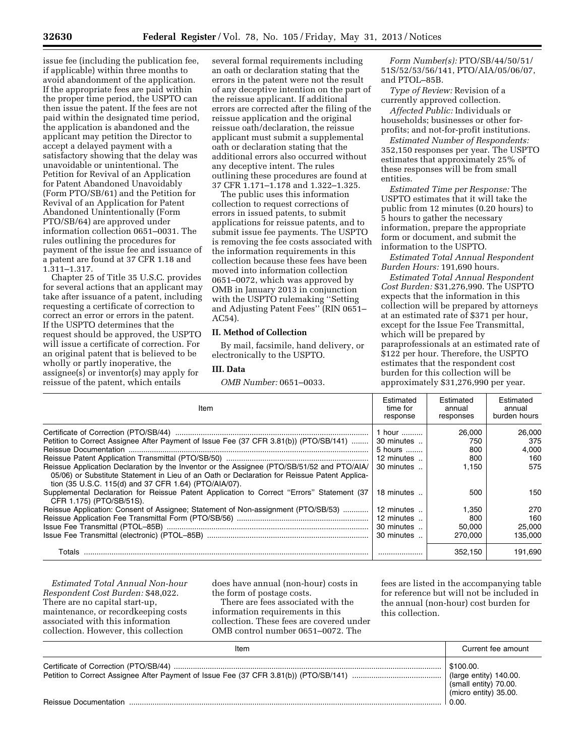issue fee (including the publication fee, if applicable) within three months to avoid abandonment of the application. If the appropriate fees are paid within the proper time period, the USPTO can then issue the patent. If the fees are not paid within the designated time period, the application is abandoned and the applicant may petition the Director to accept a delayed payment with a satisfactory showing that the delay was unavoidable or unintentional. The Petition for Revival of an Application for Patent Abandoned Unavoidably (Form PTO/SB/61) and the Petition for Revival of an Application for Patent Abandoned Unintentionally (Form PTO/SB/64) are approved under information collection 0651–0031. The rules outlining the procedures for payment of the issue fee and issuance of a patent are found at 37 CFR 1.18 and 1.311–1.317.

Chapter 25 of Title 35 U.S.C. provides for several actions that an applicant may take after issuance of a patent, including requesting a certificate of correction to correct an error or errors in the patent. If the USPTO determines that the request should be approved, the USPTO will issue a certificate of correction. For an original patent that is believed to be wholly or partly inoperative, the assignee(s) or inventor(s) may apply for reissue of the patent, which entails

several formal requirements including an oath or declaration stating that the errors in the patent were not the result of any deceptive intention on the part of the reissue applicant. If additional errors are corrected after the filing of the reissue application and the original reissue oath/declaration, the reissue applicant must submit a supplemental oath or declaration stating that the additional errors also occurred without any deceptive intent. The rules outlining these procedures are found at 37 CFR 1.171–1.178 and 1.322–1.325.

The public uses this information collection to request corrections of errors in issued patents, to submit applications for reissue patents, and to submit issue fee payments. The USPTO is removing the fee costs associated with the information requirements in this collection because these fees have been moved into information collection 0651–0072, which was approved by OMB in January 2013 in conjunction with the USPTO rulemaking ''Setting and Adjusting Patent Fees'' (RIN 0651– AC54).

#### **II. Method of Collection**

By mail, facsimile, hand delivery, or electronically to the USPTO.

#### **III. Data**

*OMB Number:* 0651–0033.

*Form Number(s):* PTO/SB/44/50/51/ 51S/52/53/56/141, PTO/AIA/05/06/07, and PTOL–85B.

*Type of Review:* Revision of a currently approved collection.

*Affected Public:* Individuals or households; businesses or other forprofits; and not-for-profit institutions.

*Estimated Number of Respondents:*  352,150 responses per year. The USPTO estimates that approximately 25% of these responses will be from small entities.

*Estimated Time per Response:* The USPTO estimates that it will take the public from 12 minutes (0.20 hours) to 5 hours to gather the necessary information, prepare the appropriate form or document, and submit the information to the USPTO.

*Estimated Total Annual Respondent Burden Hours:* 191,690 hours.

*Estimated Total Annual Respondent Cost Burden:* \$31,276,990. The USPTO expects that the information in this collection will be prepared by attorneys at an estimated rate of \$371 per hour, except for the Issue Fee Transmittal, which will be prepared by paraprofessionals at an estimated rate of \$122 per hour. Therefore, the USPTO estimates that the respondent cost burden for this collection will be approximately \$31,276,990 per year.

| Item                                                                                                                                                                                                                                                | Estimated<br>time for<br>response | Estimated<br>annual<br>responses | Estimated<br>annual<br>burden hours |
|-----------------------------------------------------------------------------------------------------------------------------------------------------------------------------------------------------------------------------------------------------|-----------------------------------|----------------------------------|-------------------------------------|
|                                                                                                                                                                                                                                                     | 1 hour                            | 26,000                           | 26,000                              |
| Petition to Correct Assignee After Payment of Issue Fee (37 CFR 3.81(b)) (PTO/SB/141)                                                                                                                                                               | 30 minutes                        | 750                              | 375                                 |
|                                                                                                                                                                                                                                                     | 5 hours                           | 800                              | 4.000                               |
|                                                                                                                                                                                                                                                     | 12 minutes                        | 800                              | 160                                 |
| Reissue Application Declaration by the Inventor or the Assignee (PTO/SB/51/52 and PTO/AIA/<br>05/06) or Substitute Statement in Lieu of an Oath or Declaration for Reissue Patent Applica-<br>tion (35 U.S.C. 115(d) and 37 CFR 1.64) (PTO/AIA/07). | 30 minutes                        | 1.150                            | 575                                 |
| Supplemental Declaration for Reissue Patent Application to Correct "Errors" Statement (37<br>CFR 1.175) (PTO/SB/51S).                                                                                                                               | 18 minutes                        | 500                              | 150                                 |
| Reissue Application: Consent of Assignee; Statement of Non-assignment (PTO/SB/53)                                                                                                                                                                   | 12 minutes                        | 1.350                            | 270                                 |
|                                                                                                                                                                                                                                                     | 12 minutes                        | 800                              | 160                                 |
|                                                                                                                                                                                                                                                     | 30 minutes                        | 50.000                           | 25.000                              |
|                                                                                                                                                                                                                                                     | 30 minutes                        | 270,000                          | 135,000                             |
|                                                                                                                                                                                                                                                     |                                   | 352.150                          | 191.690                             |

*Estimated Total Annual Non-hour Respondent Cost Burden:* \$48,022. There are no capital start-up, maintenance, or recordkeeping costs associated with this information collection. However, this collection

does have annual (non-hour) costs in the form of postage costs.

There are fees associated with the information requirements in this collection. These fees are covered under OMB control number 0651–0072. The

fees are listed in the accompanying table for reference but will not be included in the annual (non-hour) cost burden for this collection.

| Item                         | Current fee amount                                                                    |
|------------------------------|---------------------------------------------------------------------------------------|
|                              | \$100.00.<br>(large entity) 140.00.<br>(small entity) 70.00.<br>(micro entity) 35.00. |
| <b>Reissue Documentation</b> | 0.00                                                                                  |